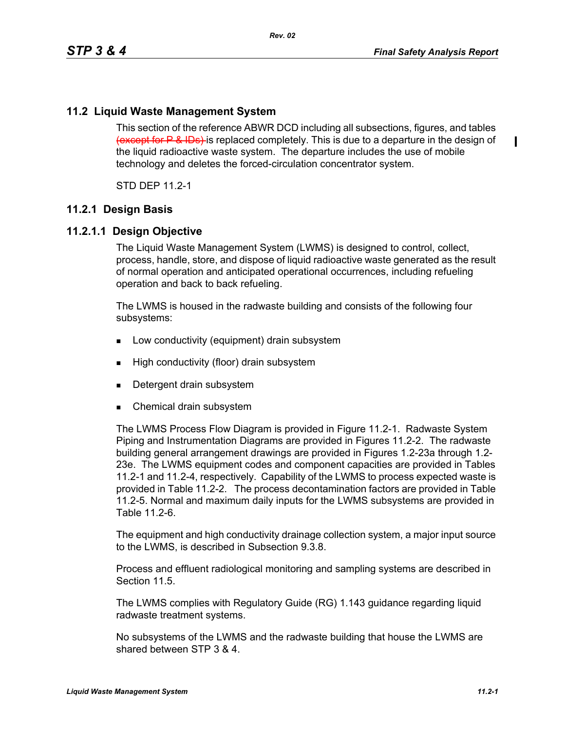П

## **11.2 Liquid Waste Management System**

This section of the reference ABWR DCD including all subsections, figures, and tables (except for P & IDs) is replaced completely. This is due to a departure in the design of the liquid radioactive waste system. The departure includes the use of mobile technology and deletes the forced-circulation concentrator system.

STD DEP 11.2-1

### **11.2.1 Design Basis**

### **11.2.1.1 Design Objective**

The Liquid Waste Management System (LWMS) is designed to control, collect, process, handle, store, and dispose of liquid radioactive waste generated as the result of normal operation and anticipated operational occurrences, including refueling operation and back to back refueling.

The LWMS is housed in the radwaste building and consists of the following four subsystems:

- **Low conductivity (equipment) drain subsystem**
- **High conductivity (floor) drain subsystem**
- Detergent drain subsystem
- Chemical drain subsystem

The LWMS Process Flow Diagram is provided in Figure 11.2-1. Radwaste System Piping and Instrumentation Diagrams are provided in Figures 11.2-2. The radwaste building general arrangement drawings are provided in Figures 1.2-23a through 1.2- 23e. The LWMS equipment codes and component capacities are provided in Tables 11.2-1 and 11.2-4, respectively. Capability of the LWMS to process expected waste is provided in Table 11.2-2. The process decontamination factors are provided in Table 11.2-5. Normal and maximum daily inputs for the LWMS subsystems are provided in Table 11.2-6.

The equipment and high conductivity drainage collection system, a major input source to the LWMS, is described in Subsection 9.3.8.

Process and effluent radiological monitoring and sampling systems are described in Section 11.5

The LWMS complies with Regulatory Guide (RG) 1.143 guidance regarding liquid radwaste treatment systems.

No subsystems of the LWMS and the radwaste building that house the LWMS are shared between STP 3 & 4.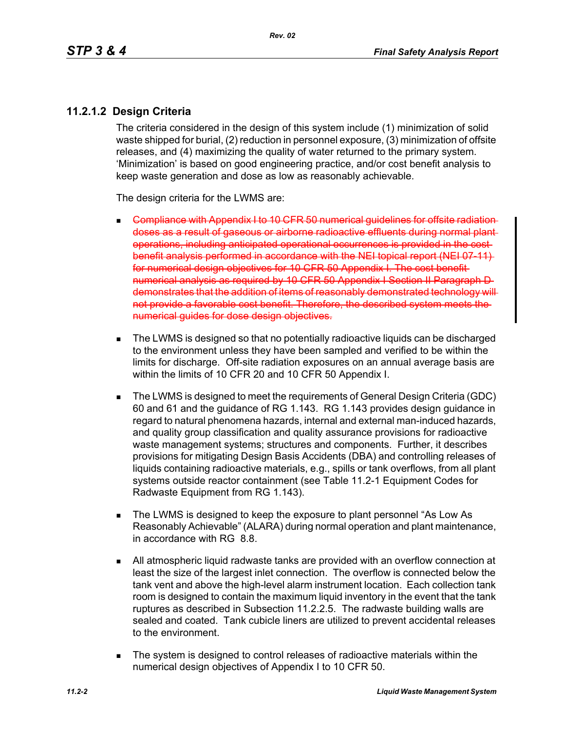## **11.2.1.2 Design Criteria**

The criteria considered in the design of this system include (1) minimization of solid waste shipped for burial, (2) reduction in personnel exposure, (3) minimization of offsite releases, and (4) maximizing the quality of water returned to the primary system. 'Minimization' is based on good engineering practice, and/or cost benefit analysis to keep waste generation and dose as low as reasonably achievable.

The design criteria for the LWMS are:

- $\blacksquare$  Compliance with Appendix I to 10 CFR 50 numerical quidelines for doses as a result of gaseous or airborne radioactive effluents during normal plant operations, including anticipated operational occurrences is provided in the benefit analysis performed in accordance with the NEI topical report (NEI 07-11) for numerical design objectives for 10 CFR 50 Appendix I. The cost benefit numerical analysis as required by 10 CFR 50 Appendix I Section II Paragraph D demonstrates that the addition of items of reasonably demonstrated technology will not provide a favorable cost benefit. Therefore, the described system meets the numerical quides for dose design objectives.
- The LWMS is designed so that no potentially radioactive liquids can be discharged to the environment unless they have been sampled and verified to be within the limits for discharge. Off-site radiation exposures on an annual average basis are within the limits of 10 CFR 20 and 10 CFR 50 Appendix I.
- The LWMS is designed to meet the requirements of General Design Criteria (GDC) 60 and 61 and the guidance of RG 1.143. RG 1.143 provides design guidance in regard to natural phenomena hazards, internal and external man-induced hazards, and quality group classification and quality assurance provisions for radioactive waste management systems; structures and components. Further, it describes provisions for mitigating Design Basis Accidents (DBA) and controlling releases of liquids containing radioactive materials, e.g., spills or tank overflows, from all plant systems outside reactor containment (see Table 11.2-1 Equipment Codes for Radwaste Equipment from RG 1.143).
- The LWMS is designed to keep the exposure to plant personnel "As Low As Reasonably Achievable" (ALARA) during normal operation and plant maintenance, in accordance with RG 8.8.
- All atmospheric liquid radwaste tanks are provided with an overflow connection at least the size of the largest inlet connection. The overflow is connected below the tank vent and above the high-level alarm instrument location. Each collection tank room is designed to contain the maximum liquid inventory in the event that the tank ruptures as described in Subsection 11.2.2.5. The radwaste building walls are sealed and coated. Tank cubicle liners are utilized to prevent accidental releases to the environment.
- The system is designed to control releases of radioactive materials within the numerical design objectives of Appendix I to 10 CFR 50.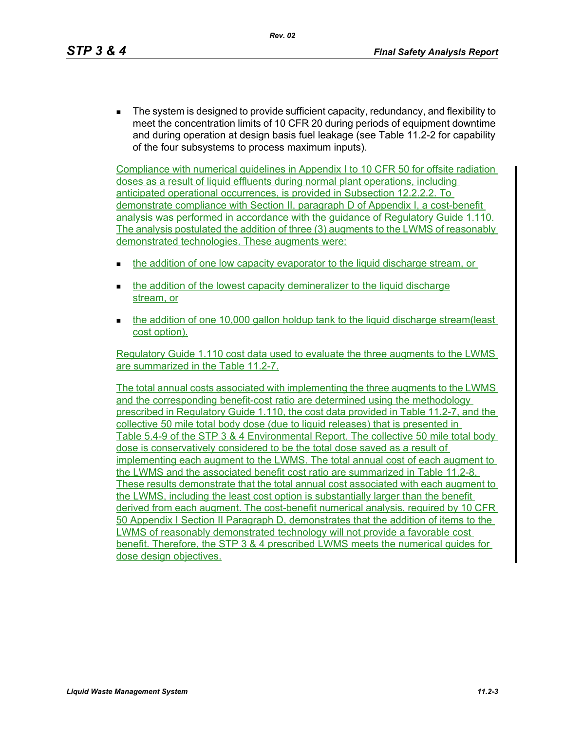The system is designed to provide sufficient capacity, redundancy, and flexibility to meet the concentration limits of 10 CFR 20 during periods of equipment downtime and during operation at design basis fuel leakage (see Table 11.2-2 for capability of the four subsystems to process maximum inputs).

Compliance with numerical guidelines in Appendix I to 10 CFR 50 for offsite radiation doses as a result of liquid effluents during normal plant operations, including anticipated operational occurrences, is provided in Subsection 12.2.2.2. To demonstrate compliance with Section II, paragraph D of Appendix I, a cost-benefit analysis was performed in accordance with the guidance of Regulatory Guide 1.110. The analysis postulated the addition of three (3) augments to the LWMS of reasonably demonstrated technologies. These augments were:

- the addition of one low capacity evaporator to the liquid discharge stream, or
- the addition of the lowest capacity demineralizer to the liquid discharge stream, or
- the addition of one 10,000 gallon holdup tank to the liquid discharge stream(least cost option).

Regulatory Guide 1.110 cost data used to evaluate the three augments to the LWMS are summarized in the Table 11.2-7.

The total annual costs associated with implementing the three augments to the LWMS and the corresponding benefit-cost ratio are determined using the methodology prescribed in Regulatory Guide 1.110, the cost data provided in Table 11.2-7, and the collective 50 mile total body dose (due to liquid releases) that is presented in Table 5.4-9 of the STP 3 & 4 Environmental Report. The collective 50 mile total body dose is conservatively considered to be the total dose saved as a result of implementing each augment to the LWMS. The total annual cost of each augment to the LWMS and the associated benefit cost ratio are summarized in Table 11.2-8. These results demonstrate that the total annual cost associated with each augment to the LWMS, including the least cost option is substantially larger than the benefit derived from each augment. The cost-benefit numerical analysis, required by 10 CFR 50 Appendix I Section II Paragraph D, demonstrates that the addition of items to the LWMS of reasonably demonstrated technology will not provide a favorable cost benefit. Therefore, the STP 3 & 4 prescribed LWMS meets the numerical guides for dose design objectives.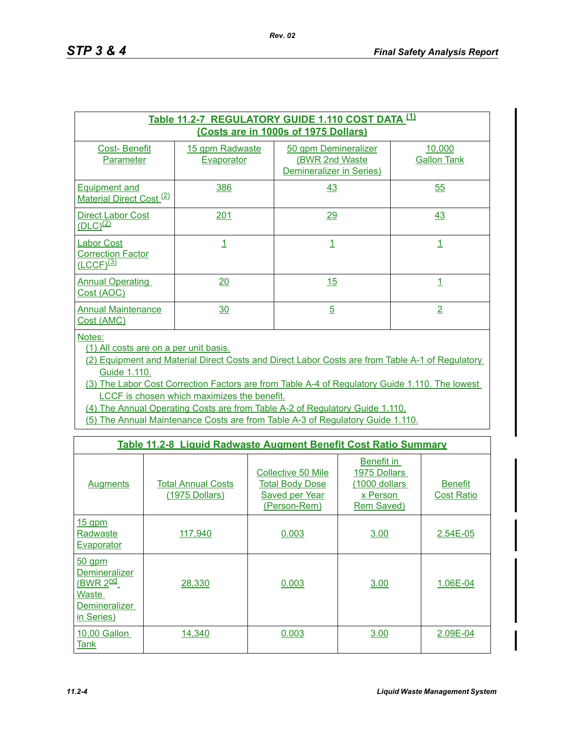|                                                                 |                               | Table 11.2-7 REGULATORY GUIDE 1.110 COST DATA (1)<br>(Costs are in 1000s of 1975 Dollars) |                              |
|-----------------------------------------------------------------|-------------------------------|-------------------------------------------------------------------------------------------|------------------------------|
| <b>Cost-Benefit</b><br>Parameter                                | 15 gpm Radwaste<br>Evaporator | 50 gpm Demineralizer<br>(BWR 2nd Waste<br>Demineralizer in Series)                        | 10,000<br><b>Gallon Tank</b> |
| <b>Equipment and</b><br>Material Direct Cost <sup>(2)</sup>     | 386                           | 43                                                                                        | 55                           |
| <b>Direct Labor Cost</b><br>$(DLC)^{(2)}$                       | 201                           | <u> 29</u>                                                                                | 43                           |
| <b>Labor Cost</b><br><b>Correction Factor</b><br>$(LCCF)^{(3)}$ | 1                             |                                                                                           |                              |
| <b>Annual Operating</b><br>Cost (AOC)                           | 20                            | 15                                                                                        | 1                            |
| <b>Annual Maintenance</b><br>Cost (AMC)                         | 30                            | $\overline{5}$                                                                            | 2                            |

Notes:

(1) All costs are on a per unit basis.

(2) Equipment and Material Direct Costs and Direct Labor Costs are from Table A-1 of Regulatory Guide 1.110.

(3) The Labor Cost Correction Factors are from Table A-4 of Regulatory Guide 1.110. The lowest LCCF is chosen which maximizes the benefit.

(4) The Annual Operating Costs are from Table A-2 of Regulatory Guide 1.110.

(5) The Annual Maintenance Costs are from Table A-3 of Regulatory Guide 1.110.

|                                                                                                         | Table 11.2-8 Liquid Radwaste Augment Benefit Cost Ratio Summary |                                                                                              |                                                                       |                                     |
|---------------------------------------------------------------------------------------------------------|-----------------------------------------------------------------|----------------------------------------------------------------------------------------------|-----------------------------------------------------------------------|-------------------------------------|
| <b>Augments</b>                                                                                         | <b>Total Annual Costs</b><br>(1975 Dollars)                     | <b>Collective 50 Mile</b><br><b>Total Body Dose</b><br><b>Saved per Year</b><br>(Person-Rem) | Benefit in<br>1975 Dollars<br>(1000 dollars<br>x Person<br>Rem Saved) | <b>Benefit</b><br><b>Cost Ratio</b> |
| <u>15 gpm</u><br>Radwaste<br><u>Evaporator</u>                                                          | 117,940                                                         | 0.003                                                                                        | 3.00                                                                  | 2.54E-05                            |
| $50$ gpm<br><b>Demineralizer</b><br>(BWR 2 <sup>nd</sup><br>Waste<br><b>Demineralizer</b><br>in Series) | <u>28,330</u>                                                   | 0.003                                                                                        | 3.00                                                                  | 1.06E-04                            |
| 10,00 Gallon<br>Tank                                                                                    | 14,340                                                          | 0.003                                                                                        | 3.00                                                                  | 2.09E-04                            |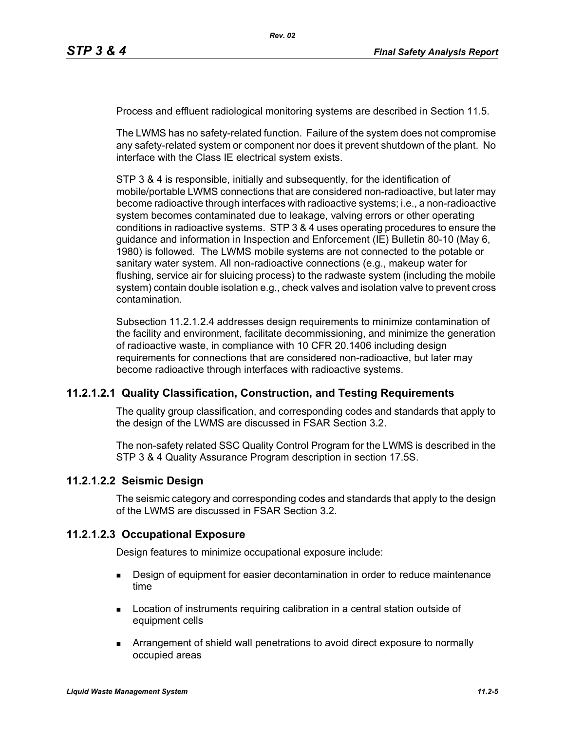Process and effluent radiological monitoring systems are described in Section 11.5.

The LWMS has no safety-related function. Failure of the system does not compromise any safety-related system or component nor does it prevent shutdown of the plant. No interface with the Class IE electrical system exists.

STP 3 & 4 is responsible, initially and subsequently, for the identification of mobile/portable LWMS connections that are considered non-radioactive, but later may become radioactive through interfaces with radioactive systems; i.e., a non-radioactive system becomes contaminated due to leakage, valving errors or other operating conditions in radioactive systems. STP 3 & 4 uses operating procedures to ensure the guidance and information in Inspection and Enforcement (IE) Bulletin 80-10 (May 6, 1980) is followed. The LWMS mobile systems are not connected to the potable or sanitary water system. All non-radioactive connections (e.g., makeup water for flushing, service air for sluicing process) to the radwaste system (including the mobile system) contain double isolation e.g., check valves and isolation valve to prevent cross contamination.

Subsection 11.2.1.2.4 addresses design requirements to minimize contamination of the facility and environment, facilitate decommissioning, and minimize the generation of radioactive waste, in compliance with 10 CFR 20.1406 including design requirements for connections that are considered non-radioactive, but later may become radioactive through interfaces with radioactive systems.

### **11.2.1.2.1 Quality Classification, Construction, and Testing Requirements**

The quality group classification, and corresponding codes and standards that apply to the design of the LWMS are discussed in FSAR Section 3.2.

The non-safety related SSC Quality Control Program for the LWMS is described in the STP 3 & 4 Quality Assurance Program description in section 17.5S.

### **11.2.1.2.2 Seismic Design**

The seismic category and corresponding codes and standards that apply to the design of the LWMS are discussed in FSAR Section 3.2.

### **11.2.1.2.3 Occupational Exposure**

Design features to minimize occupational exposure include:

- **Design of equipment for easier decontamination in order to reduce maintenance** time
- **Location of instruments requiring calibration in a central station outside of** equipment cells
- Arrangement of shield wall penetrations to avoid direct exposure to normally occupied areas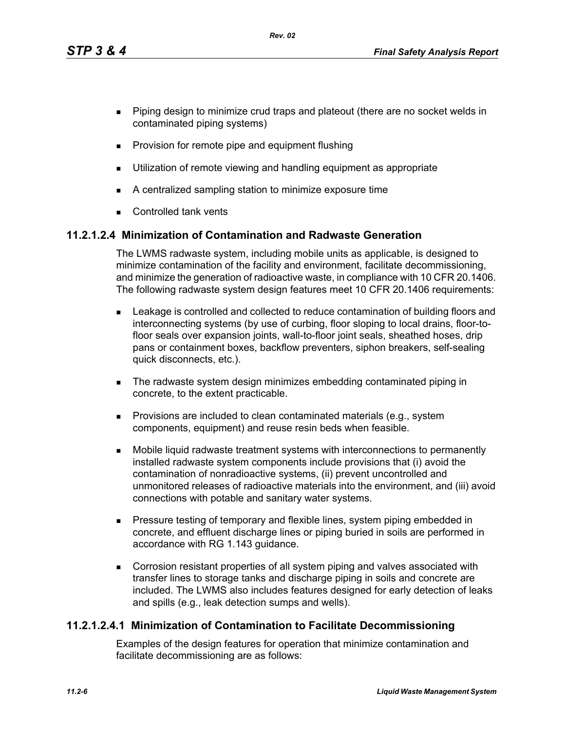- **Piping design to minimize crud traps and plateout (there are no socket welds in** contaminated piping systems)
- **Provision for remote pipe and equipment flushing**
- **Utilization of remote viewing and handling equipment as appropriate**
- A centralized sampling station to minimize exposure time
- **Controlled tank vents**

## **11.2.1.2.4 Minimization of Contamination and Radwaste Generation**

The LWMS radwaste system, including mobile units as applicable, is designed to minimize contamination of the facility and environment, facilitate decommissioning, and minimize the generation of radioactive waste, in compliance with 10 CFR 20.1406. The following radwaste system design features meet 10 CFR 20.1406 requirements:

- Leakage is controlled and collected to reduce contamination of building floors and interconnecting systems (by use of curbing, floor sloping to local drains, floor-tofloor seals over expansion joints, wall-to-floor joint seals, sheathed hoses, drip pans or containment boxes, backflow preventers, siphon breakers, self-sealing quick disconnects, etc.).
- **The radwaste system design minimizes embedding contaminated piping in** concrete, to the extent practicable.
- **Provisions are included to clean contaminated materials (e.g., system** components, equipment) and reuse resin beds when feasible.
- Mobile liquid radwaste treatment systems with interconnections to permanently installed radwaste system components include provisions that (i) avoid the contamination of nonradioactive systems, (ii) prevent uncontrolled and unmonitored releases of radioactive materials into the environment, and (iii) avoid connections with potable and sanitary water systems.
- **Pressure testing of temporary and flexible lines, system piping embedded in** concrete, and effluent discharge lines or piping buried in soils are performed in accordance with RG 1.143 guidance.
- Corrosion resistant properties of all system piping and valves associated with transfer lines to storage tanks and discharge piping in soils and concrete are included. The LWMS also includes features designed for early detection of leaks and spills (e.g., leak detection sumps and wells).

## **11.2.1.2.4.1 Minimization of Contamination to Facilitate Decommissioning**

Examples of the design features for operation that minimize contamination and facilitate decommissioning are as follows: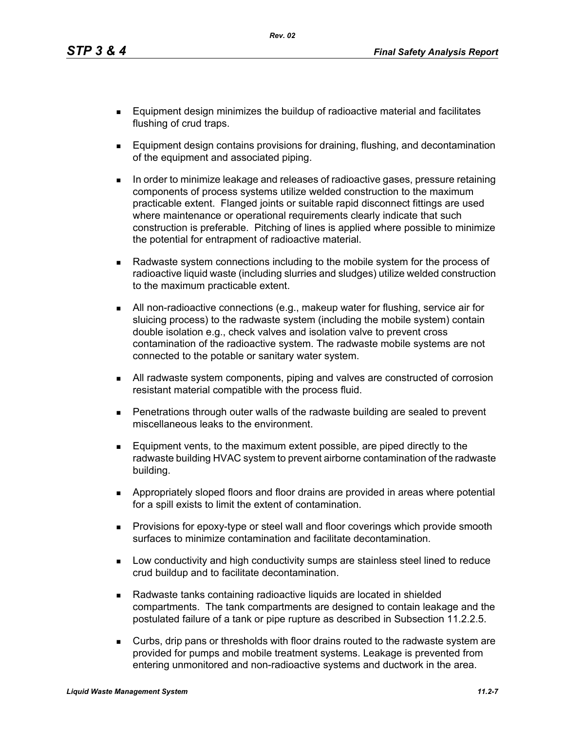- **Equipment design minimizes the buildup of radioactive material and facilitates** flushing of crud traps.
- **Equipment design contains provisions for draining, flushing, and decontamination** of the equipment and associated piping.
- In order to minimize leakage and releases of radioactive gases, pressure retaining components of process systems utilize welded construction to the maximum practicable extent. Flanged joints or suitable rapid disconnect fittings are used where maintenance or operational requirements clearly indicate that such construction is preferable. Pitching of lines is applied where possible to minimize the potential for entrapment of radioactive material.
- **Radwaste system connections including to the mobile system for the process of** radioactive liquid waste (including slurries and sludges) utilize welded construction to the maximum practicable extent.
- All non-radioactive connections (e.g., makeup water for flushing, service air for sluicing process) to the radwaste system (including the mobile system) contain double isolation e.g., check valves and isolation valve to prevent cross contamination of the radioactive system. The radwaste mobile systems are not connected to the potable or sanitary water system.
- All radwaste system components, piping and valves are constructed of corrosion resistant material compatible with the process fluid.
- Penetrations through outer walls of the radwaste building are sealed to prevent miscellaneous leaks to the environment.
- **Equipment vents, to the maximum extent possible, are piped directly to the** radwaste building HVAC system to prevent airborne contamination of the radwaste building.
- Appropriately sloped floors and floor drains are provided in areas where potential for a spill exists to limit the extent of contamination.
- **Provisions for epoxy-type or steel wall and floor coverings which provide smooth** surfaces to minimize contamination and facilitate decontamination.
- **Low conductivity and high conductivity sumps are stainless steel lined to reduce** crud buildup and to facilitate decontamination.
- Radwaste tanks containing radioactive liquids are located in shielded compartments. The tank compartments are designed to contain leakage and the postulated failure of a tank or pipe rupture as described in Subsection 11.2.2.5.
- Curbs, drip pans or thresholds with floor drains routed to the radwaste system are provided for pumps and mobile treatment systems. Leakage is prevented from entering unmonitored and non-radioactive systems and ductwork in the area.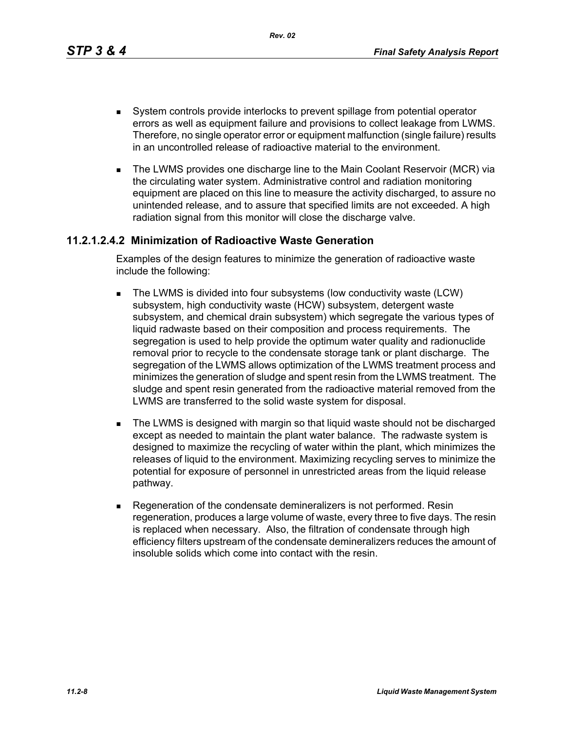- System controls provide interlocks to prevent spillage from potential operator errors as well as equipment failure and provisions to collect leakage from LWMS. Therefore, no single operator error or equipment malfunction (single failure) results in an uncontrolled release of radioactive material to the environment.
- **The LWMS provides one discharge line to the Main Coolant Reservoir (MCR) via** the circulating water system. Administrative control and radiation monitoring equipment are placed on this line to measure the activity discharged, to assure no unintended release, and to assure that specified limits are not exceeded. A high radiation signal from this monitor will close the discharge valve.

# **11.2.1.2.4.2 Minimization of Radioactive Waste Generation**

Examples of the design features to minimize the generation of radioactive waste include the following:

- **The LWMS is divided into four subsystems (low conductivity waste (LCW)** subsystem, high conductivity waste (HCW) subsystem, detergent waste subsystem, and chemical drain subsystem) which segregate the various types of liquid radwaste based on their composition and process requirements. The segregation is used to help provide the optimum water quality and radionuclide removal prior to recycle to the condensate storage tank or plant discharge. The segregation of the LWMS allows optimization of the LWMS treatment process and minimizes the generation of sludge and spent resin from the LWMS treatment. The sludge and spent resin generated from the radioactive material removed from the LWMS are transferred to the solid waste system for disposal.
- **The LWMS is designed with margin so that liquid waste should not be discharged** except as needed to maintain the plant water balance. The radwaste system is designed to maximize the recycling of water within the plant, which minimizes the releases of liquid to the environment. Maximizing recycling serves to minimize the potential for exposure of personnel in unrestricted areas from the liquid release pathway.
- Regeneration of the condensate demineralizers is not performed. Resin regeneration, produces a large volume of waste, every three to five days. The resin is replaced when necessary. Also, the filtration of condensate through high efficiency filters upstream of the condensate demineralizers reduces the amount of insoluble solids which come into contact with the resin.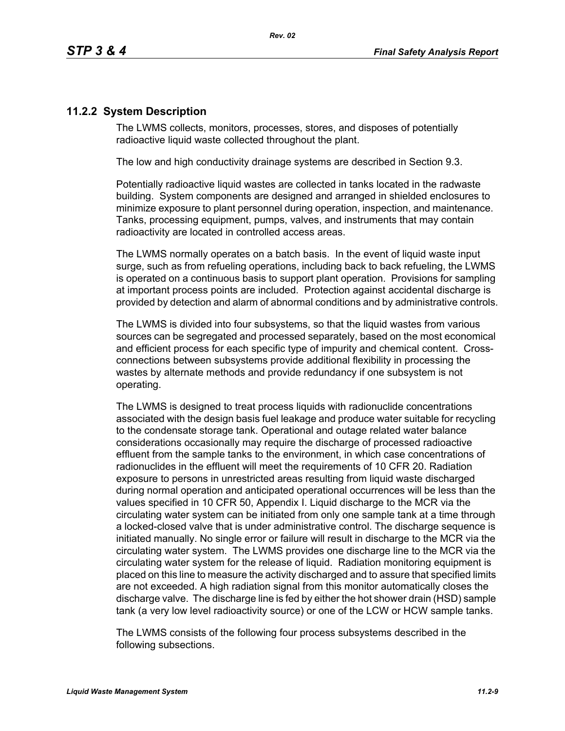## **11.2.2 System Description**

The LWMS collects, monitors, processes, stores, and disposes of potentially radioactive liquid waste collected throughout the plant.

The low and high conductivity drainage systems are described in Section 9.3.

Potentially radioactive liquid wastes are collected in tanks located in the radwaste building. System components are designed and arranged in shielded enclosures to minimize exposure to plant personnel during operation, inspection, and maintenance. Tanks, processing equipment, pumps, valves, and instruments that may contain radioactivity are located in controlled access areas.

The LWMS normally operates on a batch basis. In the event of liquid waste input surge, such as from refueling operations, including back to back refueling, the LWMS is operated on a continuous basis to support plant operation. Provisions for sampling at important process points are included. Protection against accidental discharge is provided by detection and alarm of abnormal conditions and by administrative controls.

The LWMS is divided into four subsystems, so that the liquid wastes from various sources can be segregated and processed separately, based on the most economical and efficient process for each specific type of impurity and chemical content. Crossconnections between subsystems provide additional flexibility in processing the wastes by alternate methods and provide redundancy if one subsystem is not operating.

The LWMS is designed to treat process liquids with radionuclide concentrations associated with the design basis fuel leakage and produce water suitable for recycling to the condensate storage tank. Operational and outage related water balance considerations occasionally may require the discharge of processed radioactive effluent from the sample tanks to the environment, in which case concentrations of radionuclides in the effluent will meet the requirements of 10 CFR 20. Radiation exposure to persons in unrestricted areas resulting from liquid waste discharged during normal operation and anticipated operational occurrences will be less than the values specified in 10 CFR 50, Appendix I. Liquid discharge to the MCR via the circulating water system can be initiated from only one sample tank at a time through a locked-closed valve that is under administrative control. The discharge sequence is initiated manually. No single error or failure will result in discharge to the MCR via the circulating water system. The LWMS provides one discharge line to the MCR via the circulating water system for the release of liquid. Radiation monitoring equipment is placed on this line to measure the activity discharged and to assure that specified limits are not exceeded. A high radiation signal from this monitor automatically closes the discharge valve. The discharge line is fed by either the hot shower drain (HSD) sample tank (a very low level radioactivity source) or one of the LCW or HCW sample tanks.

The LWMS consists of the following four process subsystems described in the following subsections.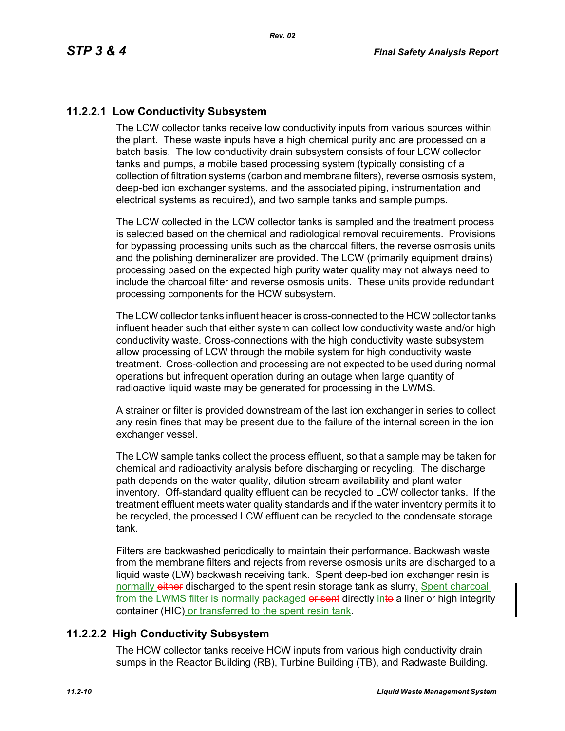## **11.2.2.1 Low Conductivity Subsystem**

The LCW collector tanks receive low conductivity inputs from various sources within the plant. These waste inputs have a high chemical purity and are processed on a batch basis. The low conductivity drain subsystem consists of four LCW collector tanks and pumps, a mobile based processing system (typically consisting of a collection of filtration systems (carbon and membrane filters), reverse osmosis system, deep-bed ion exchanger systems, and the associated piping, instrumentation and electrical systems as required), and two sample tanks and sample pumps.

The LCW collected in the LCW collector tanks is sampled and the treatment process is selected based on the chemical and radiological removal requirements. Provisions for bypassing processing units such as the charcoal filters, the reverse osmosis units and the polishing demineralizer are provided. The LCW (primarily equipment drains) processing based on the expected high purity water quality may not always need to include the charcoal filter and reverse osmosis units. These units provide redundant processing components for the HCW subsystem.

The LCW collector tanks influent header is cross-connected to the HCW collector tanks influent header such that either system can collect low conductivity waste and/or high conductivity waste. Cross-connections with the high conductivity waste subsystem allow processing of LCW through the mobile system for high conductivity waste treatment. Cross-collection and processing are not expected to be used during normal operations but infrequent operation during an outage when large quantity of radioactive liquid waste may be generated for processing in the LWMS.

A strainer or filter is provided downstream of the last ion exchanger in series to collect any resin fines that may be present due to the failure of the internal screen in the ion exchanger vessel.

The LCW sample tanks collect the process effluent, so that a sample may be taken for chemical and radioactivity analysis before discharging or recycling. The discharge path depends on the water quality, dilution stream availability and plant water inventory. Off-standard quality effluent can be recycled to LCW collector tanks. If the treatment effluent meets water quality standards and if the water inventory permits it to be recycled, the processed LCW effluent can be recycled to the condensate storage tank.

Filters are backwashed periodically to maintain their performance. Backwash waste from the membrane filters and rejects from reverse osmosis units are discharged to a liquid waste (LW) backwash receiving tank. Spent deep-bed ion exchanger resin is normally either discharged to the spent resin storage tank as slurry. Spent charcoal from the LWMS filter is normally packaged or sent directly into a liner or high integrity container (HIC) or transferred to the spent resin tank.

## **11.2.2.2 High Conductivity Subsystem**

The HCW collector tanks receive HCW inputs from various high conductivity drain sumps in the Reactor Building (RB), Turbine Building (TB), and Radwaste Building.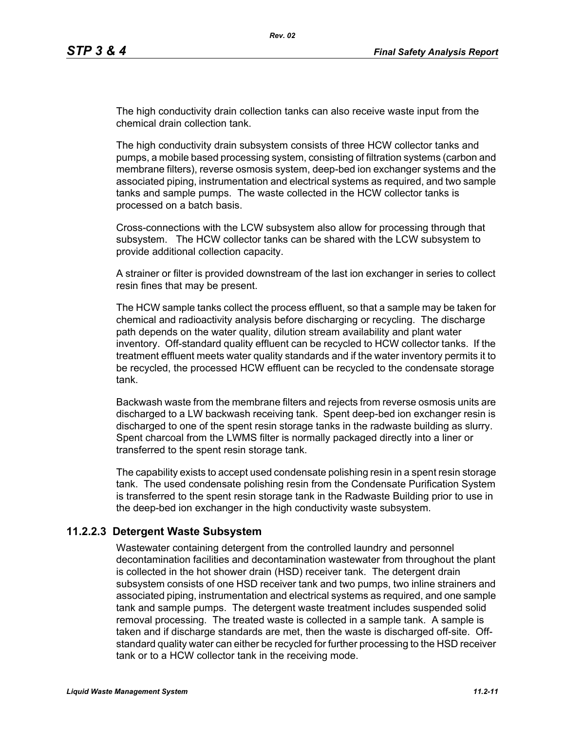The high conductivity drain collection tanks can also receive waste input from the chemical drain collection tank.

The high conductivity drain subsystem consists of three HCW collector tanks and pumps, a mobile based processing system, consisting of filtration systems (carbon and membrane filters), reverse osmosis system, deep-bed ion exchanger systems and the associated piping, instrumentation and electrical systems as required, and two sample tanks and sample pumps. The waste collected in the HCW collector tanks is processed on a batch basis.

Cross-connections with the LCW subsystem also allow for processing through that subsystem. The HCW collector tanks can be shared with the LCW subsystem to provide additional collection capacity.

A strainer or filter is provided downstream of the last ion exchanger in series to collect resin fines that may be present.

The HCW sample tanks collect the process effluent, so that a sample may be taken for chemical and radioactivity analysis before discharging or recycling. The discharge path depends on the water quality, dilution stream availability and plant water inventory. Off-standard quality effluent can be recycled to HCW collector tanks. If the treatment effluent meets water quality standards and if the water inventory permits it to be recycled, the processed HCW effluent can be recycled to the condensate storage tank.

Backwash waste from the membrane filters and rejects from reverse osmosis units are discharged to a LW backwash receiving tank. Spent deep-bed ion exchanger resin is discharged to one of the spent resin storage tanks in the radwaste building as slurry. Spent charcoal from the LWMS filter is normally packaged directly into a liner or transferred to the spent resin storage tank.

The capability exists to accept used condensate polishing resin in a spent resin storage tank. The used condensate polishing resin from the Condensate Purification System is transferred to the spent resin storage tank in the Radwaste Building prior to use in the deep-bed ion exchanger in the high conductivity waste subsystem.

### **11.2.2.3 Detergent Waste Subsystem**

Wastewater containing detergent from the controlled laundry and personnel decontamination facilities and decontamination wastewater from throughout the plant is collected in the hot shower drain (HSD) receiver tank. The detergent drain subsystem consists of one HSD receiver tank and two pumps, two inline strainers and associated piping, instrumentation and electrical systems as required, and one sample tank and sample pumps. The detergent waste treatment includes suspended solid removal processing. The treated waste is collected in a sample tank. A sample is taken and if discharge standards are met, then the waste is discharged off-site. Offstandard quality water can either be recycled for further processing to the HSD receiver tank or to a HCW collector tank in the receiving mode.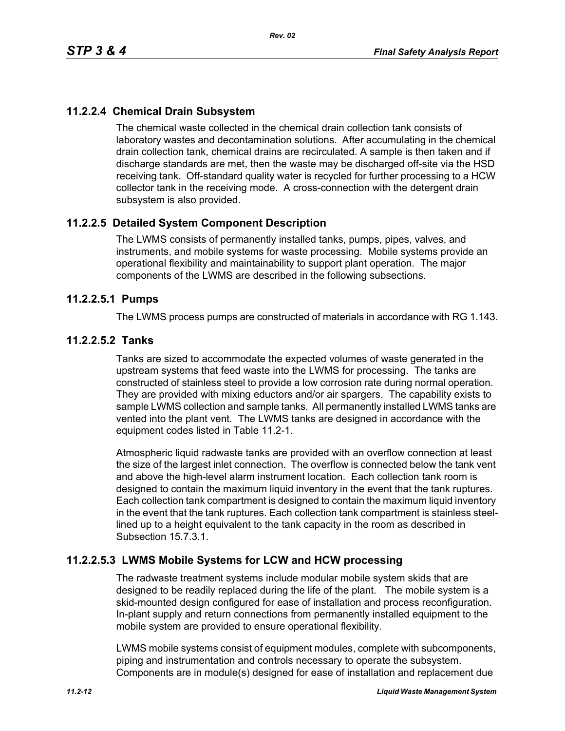## **11.2.2.4 Chemical Drain Subsystem**

The chemical waste collected in the chemical drain collection tank consists of laboratory wastes and decontamination solutions. After accumulating in the chemical drain collection tank, chemical drains are recirculated. A sample is then taken and if discharge standards are met, then the waste may be discharged off-site via the HSD receiving tank. Off-standard quality water is recycled for further processing to a HCW collector tank in the receiving mode. A cross-connection with the detergent drain subsystem is also provided.

## **11.2.2.5 Detailed System Component Description**

The LWMS consists of permanently installed tanks, pumps, pipes, valves, and instruments, and mobile systems for waste processing. Mobile systems provide an operational flexibility and maintainability to support plant operation. The major components of the LWMS are described in the following subsections.

### **11.2.2.5.1 Pumps**

The LWMS process pumps are constructed of materials in accordance with RG 1.143.

### **11.2.2.5.2 Tanks**

Tanks are sized to accommodate the expected volumes of waste generated in the upstream systems that feed waste into the LWMS for processing. The tanks are constructed of stainless steel to provide a low corrosion rate during normal operation. They are provided with mixing eductors and/or air spargers. The capability exists to sample LWMS collection and sample tanks. All permanently installed LWMS tanks are vented into the plant vent. The LWMS tanks are designed in accordance with the equipment codes listed in Table 11.2-1.

Atmospheric liquid radwaste tanks are provided with an overflow connection at least the size of the largest inlet connection. The overflow is connected below the tank vent and above the high-level alarm instrument location. Each collection tank room is designed to contain the maximum liquid inventory in the event that the tank ruptures. Each collection tank compartment is designed to contain the maximum liquid inventory in the event that the tank ruptures. Each collection tank compartment is stainless steellined up to a height equivalent to the tank capacity in the room as described in Subsection 15.7.3.1.

### **11.2.2.5.3 LWMS Mobile Systems for LCW and HCW processing**

The radwaste treatment systems include modular mobile system skids that are designed to be readily replaced during the life of the plant. The mobile system is a skid-mounted design configured for ease of installation and process reconfiguration. In-plant supply and return connections from permanently installed equipment to the mobile system are provided to ensure operational flexibility.

LWMS mobile systems consist of equipment modules, complete with subcomponents, piping and instrumentation and controls necessary to operate the subsystem. Components are in module(s) designed for ease of installation and replacement due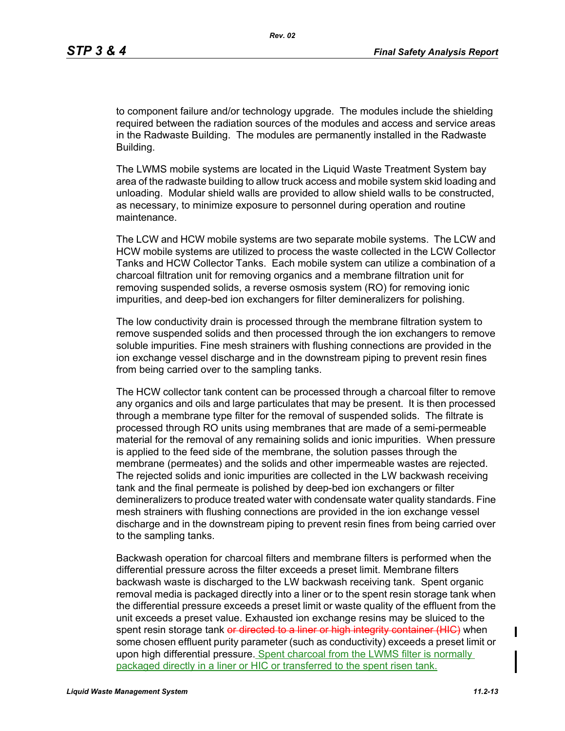to component failure and/or technology upgrade. The modules include the shielding required between the radiation sources of the modules and access and service areas in the Radwaste Building. The modules are permanently installed in the Radwaste Building.

The LWMS mobile systems are located in the Liquid Waste Treatment System bay area of the radwaste building to allow truck access and mobile system skid loading and unloading. Modular shield walls are provided to allow shield walls to be constructed, as necessary, to minimize exposure to personnel during operation and routine maintenance.

The LCW and HCW mobile systems are two separate mobile systems. The LCW and HCW mobile systems are utilized to process the waste collected in the LCW Collector Tanks and HCW Collector Tanks. Each mobile system can utilize a combination of a charcoal filtration unit for removing organics and a membrane filtration unit for removing suspended solids, a reverse osmosis system (RO) for removing ionic impurities, and deep-bed ion exchangers for filter demineralizers for polishing.

The low conductivity drain is processed through the membrane filtration system to remove suspended solids and then processed through the ion exchangers to remove soluble impurities. Fine mesh strainers with flushing connections are provided in the ion exchange vessel discharge and in the downstream piping to prevent resin fines from being carried over to the sampling tanks.

The HCW collector tank content can be processed through a charcoal filter to remove any organics and oils and large particulates that may be present. It is then processed through a membrane type filter for the removal of suspended solids. The filtrate is processed through RO units using membranes that are made of a semi-permeable material for the removal of any remaining solids and ionic impurities. When pressure is applied to the feed side of the membrane, the solution passes through the membrane (permeates) and the solids and other impermeable wastes are rejected. The rejected solids and ionic impurities are collected in the LW backwash receiving tank and the final permeate is polished by deep-bed ion exchangers or filter demineralizers to produce treated water with condensate water quality standards. Fine mesh strainers with flushing connections are provided in the ion exchange vessel discharge and in the downstream piping to prevent resin fines from being carried over to the sampling tanks.

Backwash operation for charcoal filters and membrane filters is performed when the differential pressure across the filter exceeds a preset limit. Membrane filters backwash waste is discharged to the LW backwash receiving tank. Spent organic removal media is packaged directly into a liner or to the spent resin storage tank when the differential pressure exceeds a preset limit or waste quality of the effluent from the unit exceeds a preset value. Exhausted ion exchange resins may be sluiced to the spent resin storage tank or directed to a liner or high integrity container (HIC) when some chosen effluent purity parameter (such as conductivity) exceeds a preset limit or upon high differential pressure. Spent charcoal from the LWMS filter is normally packaged directly in a liner or HIC or transferred to the spent risen tank.

П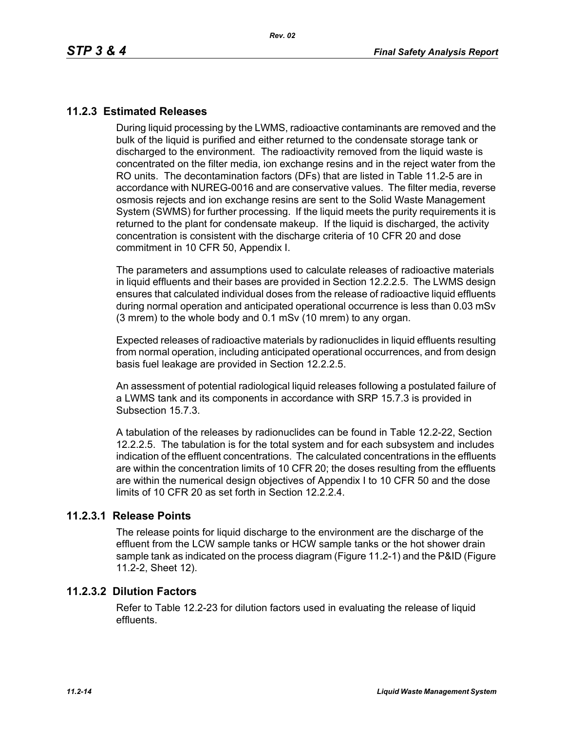## **11.2.3 Estimated Releases**

During liquid processing by the LWMS, radioactive contaminants are removed and the bulk of the liquid is purified and either returned to the condensate storage tank or discharged to the environment. The radioactivity removed from the liquid waste is concentrated on the filter media, ion exchange resins and in the reject water from the RO units. The decontamination factors (DFs) that are listed in Table 11.2-5 are in accordance with NUREG-0016 and are conservative values. The filter media, reverse osmosis rejects and ion exchange resins are sent to the Solid Waste Management System (SWMS) for further processing. If the liquid meets the purity requirements it is returned to the plant for condensate makeup. If the liquid is discharged, the activity concentration is consistent with the discharge criteria of 10 CFR 20 and dose commitment in 10 CFR 50, Appendix I.

The parameters and assumptions used to calculate releases of radioactive materials in liquid effluents and their bases are provided in Section 12.2.2.5. The LWMS design ensures that calculated individual doses from the release of radioactive liquid effluents during normal operation and anticipated operational occurrence is less than 0.03 mSv (3 mrem) to the whole body and 0.1 mSv (10 mrem) to any organ.

Expected releases of radioactive materials by radionuclides in liquid effluents resulting from normal operation, including anticipated operational occurrences, and from design basis fuel leakage are provided in Section 12.2.2.5.

An assessment of potential radiological liquid releases following a postulated failure of a LWMS tank and its components in accordance with SRP 15.7.3 is provided in Subsection 15.7.3.

A tabulation of the releases by radionuclides can be found in Table 12.2-22, Section 12.2.2.5. The tabulation is for the total system and for each subsystem and includes indication of the effluent concentrations. The calculated concentrations in the effluents are within the concentration limits of 10 CFR 20; the doses resulting from the effluents are within the numerical design objectives of Appendix I to 10 CFR 50 and the dose limits of 10 CFR 20 as set forth in Section 12.2.2.4.

### **11.2.3.1 Release Points**

The release points for liquid discharge to the environment are the discharge of the effluent from the LCW sample tanks or HCW sample tanks or the hot shower drain sample tank as indicated on the process diagram (Figure 11.2-1) and the P&ID (Figure 11.2-2, Sheet 12).

### **11.2.3.2 Dilution Factors**

Refer to Table 12.2-23 for dilution factors used in evaluating the release of liquid effluents.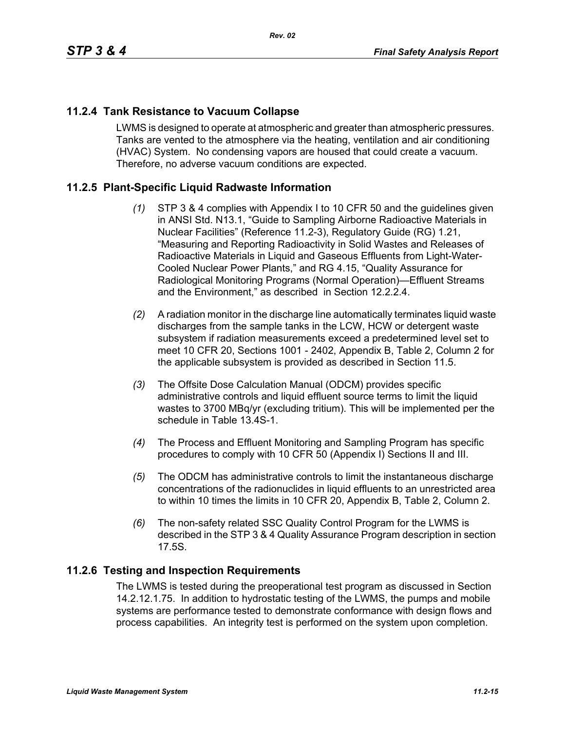## **11.2.4 Tank Resistance to Vacuum Collapse**

LWMS is designed to operate at atmospheric and greater than atmospheric pressures. Tanks are vented to the atmosphere via the heating, ventilation and air conditioning (HVAC) System. No condensing vapors are housed that could create a vacuum. Therefore, no adverse vacuum conditions are expected.

## **11.2.5 Plant-Specific Liquid Radwaste Information**

- *(1)* STP 3 & 4 complies with Appendix I to 10 CFR 50 and the guidelines given in ANSI Std. N13.1, "Guide to Sampling Airborne Radioactive Materials in Nuclear Facilities" (Reference 11.2-3), Regulatory Guide (RG) 1.21, "Measuring and Reporting Radioactivity in Solid Wastes and Releases of Radioactive Materials in Liquid and Gaseous Effluents from Light-Water-Cooled Nuclear Power Plants," and RG 4.15, "Quality Assurance for Radiological Monitoring Programs (Normal Operation)—Effluent Streams and the Environment," as described in Section 12.2.2.4.
- *(2)* A radiation monitor in the discharge line automatically terminates liquid waste discharges from the sample tanks in the LCW, HCW or detergent waste subsystem if radiation measurements exceed a predetermined level set to meet 10 CFR 20, Sections 1001 - 2402, Appendix B, Table 2, Column 2 for the applicable subsystem is provided as described in Section 11.5.
- *(3)* The Offsite Dose Calculation Manual (ODCM) provides specific administrative controls and liquid effluent source terms to limit the liquid wastes to 3700 MBq/yr (excluding tritium). This will be implemented per the schedule in Table 13.4S-1.
- *(4)* The Process and Effluent Monitoring and Sampling Program has specific procedures to comply with 10 CFR 50 (Appendix I) Sections II and III.
- *(5)* The ODCM has administrative controls to limit the instantaneous discharge concentrations of the radionuclides in liquid effluents to an unrestricted area to within 10 times the limits in 10 CFR 20, Appendix B, Table 2, Column 2.
- *(6)* The non-safety related SSC Quality Control Program for the LWMS is described in the STP 3 & 4 Quality Assurance Program description in section 17.5S.

## **11.2.6 Testing and Inspection Requirements**

The LWMS is tested during the preoperational test program as discussed in Section 14.2.12.1.75. In addition to hydrostatic testing of the LWMS, the pumps and mobile systems are performance tested to demonstrate conformance with design flows and process capabilities. An integrity test is performed on the system upon completion.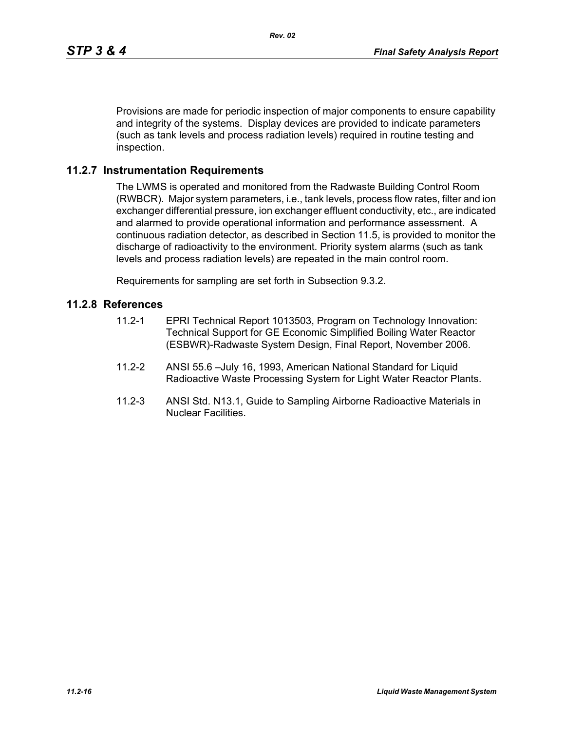Provisions are made for periodic inspection of major components to ensure capability and integrity of the systems. Display devices are provided to indicate parameters (such as tank levels and process radiation levels) required in routine testing and inspection.

### **11.2.7 Instrumentation Requirements**

The LWMS is operated and monitored from the Radwaste Building Control Room (RWBCR). Major system parameters, i.e., tank levels, process flow rates, filter and ion exchanger differential pressure, ion exchanger effluent conductivity, etc., are indicated and alarmed to provide operational information and performance assessment. A continuous radiation detector, as described in Section 11.5, is provided to monitor the discharge of radioactivity to the environment. Priority system alarms (such as tank levels and process radiation levels) are repeated in the main control room.

Requirements for sampling are set forth in Subsection 9.3.2.

#### **11.2.8 References**

- 11.2-1 EPRI Technical Report 1013503, Program on Technology Innovation: Technical Support for GE Economic Simplified Boiling Water Reactor (ESBWR)-Radwaste System Design, Final Report, November 2006.
- 11.2-2 ANSI 55.6 –July 16, 1993, American National Standard for Liquid Radioactive Waste Processing System for Light Water Reactor Plants.
- 11.2-3 ANSI Std. N13.1, Guide to Sampling Airborne Radioactive Materials in Nuclear Facilities.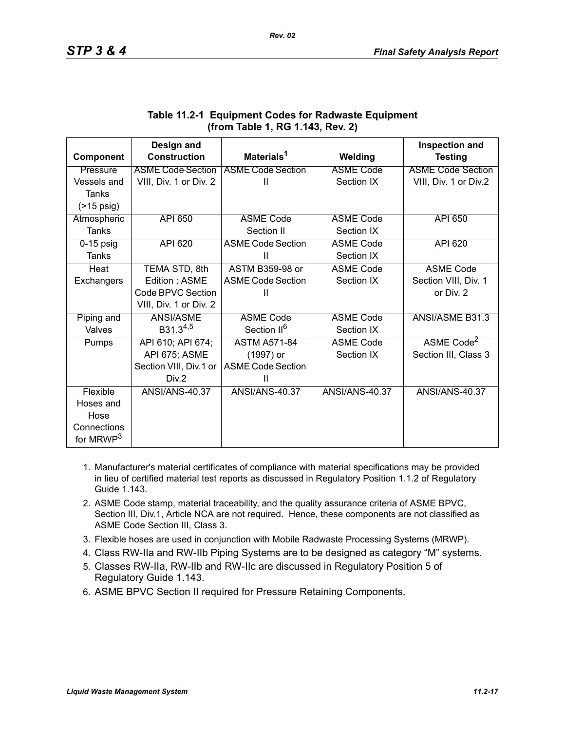|                       | Design and               |                          |                  | <b>Inspection and</b>    |
|-----------------------|--------------------------|--------------------------|------------------|--------------------------|
| Component             | <b>Construction</b>      | Materials <sup>1</sup>   | Welding          | <b>Testing</b>           |
| Pressure              | <b>ASME Code-Section</b> | <b>ASME Code Section</b> | <b>ASME Code</b> | <b>ASME Code Section</b> |
| Vessels and           | VIII, Div. 1 or Div. 2   | Ш                        | Section IX       | VIII, Div. 1 or Div.2    |
| Tanks                 |                          |                          |                  |                          |
| $($ >15 psig)         |                          |                          |                  |                          |
| Atmospheric           | <b>API 650</b>           | <b>ASME Code</b>         | <b>ASME Code</b> | <b>API 650</b>           |
| <b>Tanks</b>          |                          | Section II               | Section IX       |                          |
| $0-15$ psig           | <b>API 620</b>           | <b>ASME Code Section</b> | <b>ASME Code</b> | <b>API 620</b>           |
| Tanks                 |                          | Ш                        | Section IX       |                          |
| Heat                  | TEMA STD, 8th            | <b>ASTM B359-98 or</b>   | <b>ASME Code</b> | <b>ASME Code</b>         |
| Exchangers            | Edition; ASME            | <b>ASME Code Section</b> | Section IX       | Section VIII, Div. 1     |
|                       | Code BPVC Section        | Ш                        |                  | or Div. 2                |
|                       | VIII, Div. 1 or Div. 2   |                          |                  |                          |
| Piping and            | ANSI/ASME                | <b>ASME Code</b>         | <b>ASME Code</b> | ANSI/ASME B31.3          |
| Valves                | $B31.3^{4,5}$            | Section II <sup>6</sup>  | Section IX       |                          |
| Pumps                 | API 610; API 674;        | <b>ASTM A571-84</b>      | <b>ASME Code</b> | ASME Code <sup>2</sup>   |
|                       | API 675; ASME            | (1997) or                | Section IX       | Section III, Class 3     |
|                       | Section VIII, Div.1 or   | <b>ASME Code Section</b> |                  |                          |
|                       | Div.2                    | Ш                        |                  |                          |
| Flexible              | <b>ANSI/ANS-40.37</b>    | <b>ANSI/ANS-40.37</b>    | ANSI/ANS-40.37   | <b>ANSI/ANS-40.37</b>    |
| Hoses and             |                          |                          |                  |                          |
| Hose                  |                          |                          |                  |                          |
| Connections           |                          |                          |                  |                          |
| for MRWP <sup>3</sup> |                          |                          |                  |                          |

## **Table 11.2-1 Equipment Codes for Radwaste Equipment (from Table 1, RG 1.143, Rev. 2)**

- 1. Manufacturer's material certificates of compliance with material specifications may be provided in lieu of certified material test reports as discussed in Regulatory Position 1.1.2 of Regulatory Guide 1.143.
- 2. ASME Code stamp, material traceability, and the quality assurance criteria of ASME BPVC, Section III, Div.1, Article NCA are not required. Hence, these components are not classified as ASME Code Section III, Class 3.
- 3. Flexible hoses are used in conjunction with Mobile Radwaste Processing Systems (MRWP).
- 4. Class RW-IIa and RW-IIb Piping Systems are to be designed as category "M" systems.
- 5. Classes RW-IIa, RW-IIb and RW-IIc are discussed in Regulatory Position 5 of Regulatory Guide 1.143.
- 6. ASME BPVC Section II required for Pressure Retaining Components.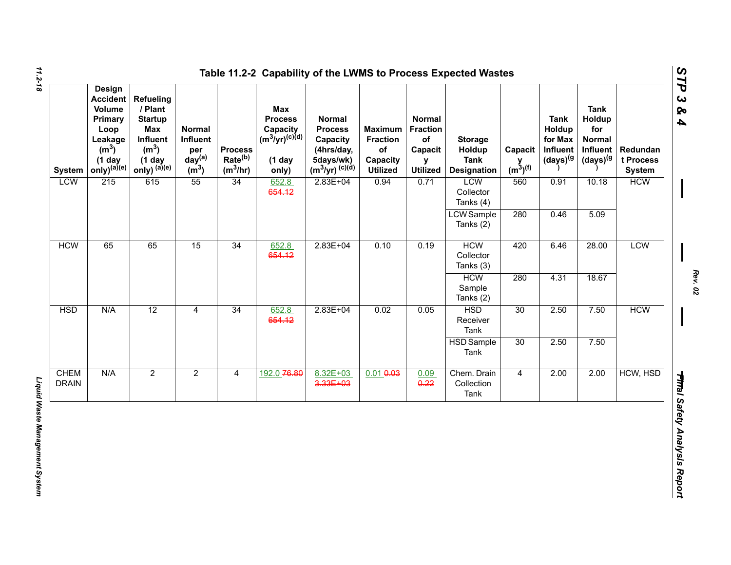| <b>System</b>               | <b>Design</b><br><b>Accident</b><br><b>Volume</b><br>Primary<br>Loop<br>Leakage<br>(m <sup>3</sup> )<br>$(1$ day<br>only) <sup>(a)(e)</sup> | <b>Refueling</b><br>/ Plant<br><b>Startup</b><br><b>Max</b><br>Influent<br>(m <sup>3</sup> )<br>$(1$ day<br>only) (a)(e) | <b>Normal</b><br>Influent<br>per<br>day <sup>(a)</sup><br>$\overline{m}^3$ | <b>Process</b><br>Rate <sup>(b)</sup><br>$(m^3/hr)$ | <b>Max</b><br><b>Process</b><br>Capacity<br>$(m^3/yr)^{(c)(d)}$<br>$(1$ day<br>only) | Normal<br><b>Process</b><br>Capacity<br>(4hrs/day,<br>5days/wk)<br>$(m^3/yr)^{(c)(d)}$ | <b>Maximum</b><br><b>Fraction</b><br>of<br>Capacity<br><b>Utilized</b> | <b>Normal</b><br><b>Fraction</b><br>of<br>Capacit<br>$\mathbf v$<br><b>Utilized</b> | <b>Storage</b><br>Holdup<br><b>Tank</b><br><b>Designation</b> | Capacit<br>$y$ <sub>(m<sup>3</sup>)<sup>(f)</sup></sub> | <b>Tank</b><br>Holdup<br>for Max<br>Influent<br>(days) <sup>(g</sup> | <b>Tank</b><br>Holdup<br>for<br>Normal<br>Influent<br>(days) <sup>(g</sup> | Redundan<br>t Process<br><b>System</b> |
|-----------------------------|---------------------------------------------------------------------------------------------------------------------------------------------|--------------------------------------------------------------------------------------------------------------------------|----------------------------------------------------------------------------|-----------------------------------------------------|--------------------------------------------------------------------------------------|----------------------------------------------------------------------------------------|------------------------------------------------------------------------|-------------------------------------------------------------------------------------|---------------------------------------------------------------|---------------------------------------------------------|----------------------------------------------------------------------|----------------------------------------------------------------------------|----------------------------------------|
| <b>LCW</b>                  | 215                                                                                                                                         | 615                                                                                                                      | 55                                                                         | 34                                                  | 652.8<br>654.12                                                                      | $2.83E + 04$                                                                           | 0.94                                                                   | 0.71                                                                                | LCW<br>Collector<br>Tanks (4)                                 | 560                                                     | 0.91                                                                 | 10.18                                                                      | <b>HCW</b>                             |
|                             |                                                                                                                                             |                                                                                                                          |                                                                            |                                                     |                                                                                      |                                                                                        |                                                                        |                                                                                     | <b>LCW</b> Sample<br>Tanks (2)                                | 280                                                     | 0.46                                                                 | 5.09                                                                       |                                        |
| <b>HCW</b>                  | 65                                                                                                                                          | 65                                                                                                                       | 15                                                                         | 34                                                  | 652.8<br>654.12                                                                      | $2.83E + 04$                                                                           | 0.10                                                                   | 0.19                                                                                | <b>HCW</b><br>Collector<br>Tanks (3)                          | 420                                                     | 6.46                                                                 | 28.00                                                                      | <b>LCW</b>                             |
|                             |                                                                                                                                             |                                                                                                                          |                                                                            |                                                     |                                                                                      |                                                                                        |                                                                        |                                                                                     | <b>HCW</b><br>Sample<br>Tanks (2)                             | 280                                                     | 4.31                                                                 | 18.67                                                                      |                                        |
| <b>HSD</b>                  | N/A                                                                                                                                         | 12                                                                                                                       | $\overline{4}$                                                             | 34                                                  | 652.8<br>654.12                                                                      | $2.83E + 04$                                                                           | 0.02                                                                   | 0.05                                                                                | <b>HSD</b><br>Receiver<br>Tank                                | 30                                                      | 2.50                                                                 | 7.50                                                                       | <b>HCW</b>                             |
|                             |                                                                                                                                             |                                                                                                                          |                                                                            |                                                     |                                                                                      |                                                                                        |                                                                        |                                                                                     | <b>HSD</b> Sample<br>Tank                                     | 30                                                      | 2.50                                                                 | 7.50                                                                       |                                        |
| <b>CHEM</b><br><b>DRAIN</b> | N/A                                                                                                                                         | $\overline{2}$                                                                                                           | $\overline{2}$                                                             | 4                                                   | 192.0 76.80                                                                          | 8.32E+03<br>3.33E+03                                                                   | $0.01 + 0.03$                                                          | 0.09<br>0.22                                                                        | Chem. Drain<br>Collection<br>Tank                             | $\overline{4}$                                          | 2.00                                                                 | 2.00                                                                       | HCW, HSD                               |

*11.2-18*

*Rev. 02*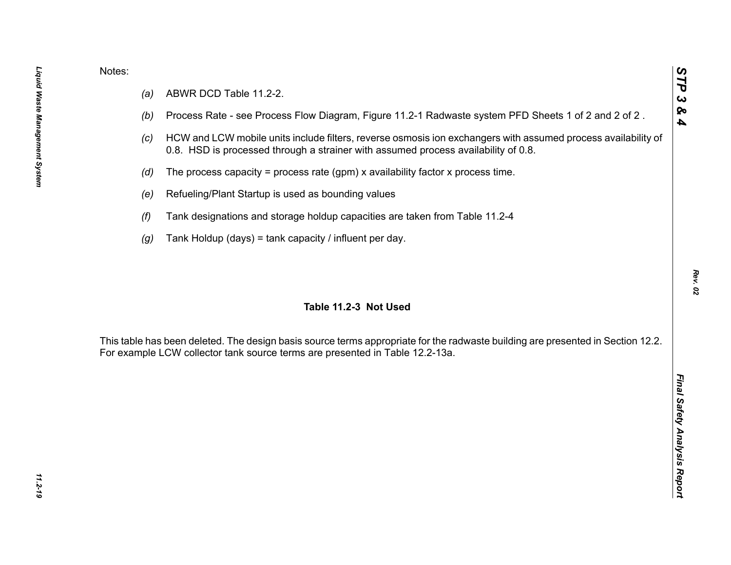- 
- 
- 
- 
- 
- 
- 

Notes:<br>
(a) ABWR DCD Table 11.2-2.<br>
(b) Process Rate - see Process Flow Diagram, Figure 11.2-1 Radwaste system PFD Sheets 1 of 2 and 2 of 2.<br>
(c) HCW and LCW mobile units include filters, reverse osmosis ion exchangers wit

*Rev. 02*

*STP 3 & 4*

11.2-19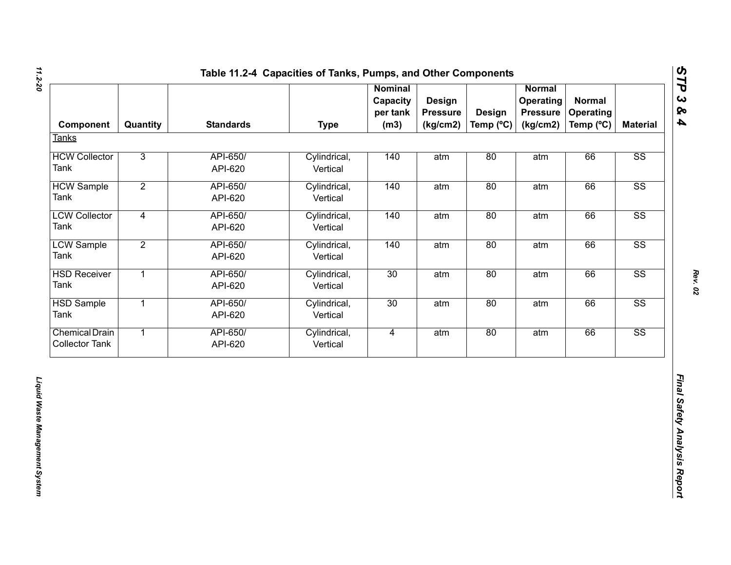| Component                                      | Quantity       | <b>Standards</b>    | <b>Type</b>              | <b>Nominal</b><br>Capacity<br>per tank<br>(m3) | <b>Design</b><br><b>Pressure</b><br>(kg/cm2) | <b>Design</b><br>Temp (°C) | <b>Normal</b><br>Operating<br><b>Pressure</b><br>(kg/cm2) | <b>Normal</b><br>Operating<br>Temp (°C) | <b>Material</b>        |
|------------------------------------------------|----------------|---------------------|--------------------------|------------------------------------------------|----------------------------------------------|----------------------------|-----------------------------------------------------------|-----------------------------------------|------------------------|
| <b>Tanks</b>                                   |                |                     |                          |                                                |                                              |                            |                                                           |                                         |                        |
| <b>HCW Collector</b><br>Tank                   | $\overline{3}$ | API-650/<br>API-620 | Cylindrical,<br>Vertical | 140                                            | atm                                          | 80                         | atm                                                       | 66                                      | SS                     |
| <b>HCW Sample</b><br>Tank                      | $\overline{2}$ | API-650/<br>API-620 | Cylindrical,<br>Vertical | 140                                            | atm                                          | 80                         | atm                                                       | 66                                      | $\overline{\text{SS}}$ |
| <b>LCW Collector</b><br>Tank                   | $\overline{4}$ | API-650/<br>API-620 | Cylindrical,<br>Vertical | 140                                            | atm                                          | 80                         | atm                                                       | 66                                      | $\overline{\text{SS}}$ |
| <b>LCW Sample</b><br>Tank                      | $\overline{2}$ | API-650/<br>API-620 | Cylindrical,<br>Vertical | 140                                            | atm                                          | 80                         | atm                                                       | 66                                      | $\overline{\text{SS}}$ |
| <b>HSD Receiver</b><br>Tank                    | $\overline{1}$ | API-650/<br>API-620 | Cylindrical,<br>Vertical | 30                                             | atm                                          | 80                         | atm                                                       | 66                                      | SS                     |
| <b>HSD Sample</b><br>Tank                      | $\overline{1}$ | API-650/<br>API-620 | Cylindrical,<br>Vertical | 30                                             | atm                                          | 80                         | atm                                                       | 66                                      | $\overline{\text{SS}}$ |
| <b>Chemical Drain</b><br><b>Collector Tank</b> | $\overline{1}$ | API-650/<br>API-620 | Cylindrical,<br>Vertical | $\overline{4}$                                 | atm                                          | 80                         | atm                                                       | 66                                      | SS                     |
|                                                |                |                     |                          |                                                |                                              |                            |                                                           |                                         |                        |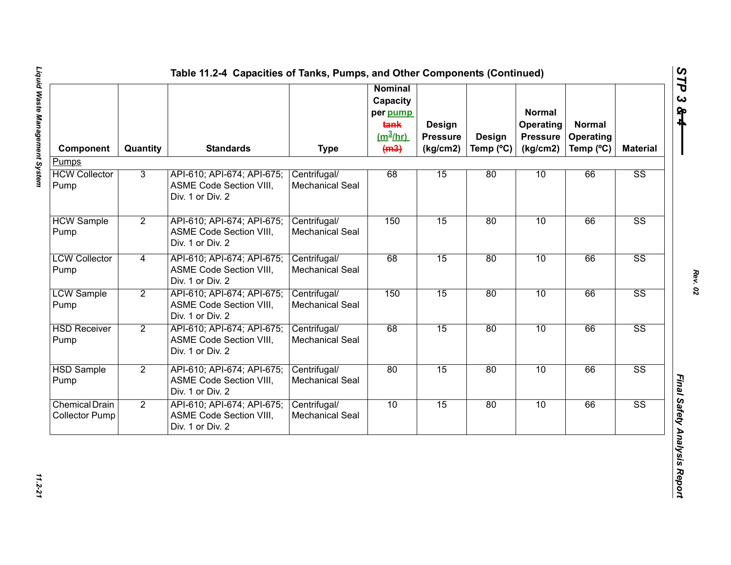|                                                |                |                                                                                  |                                        | <b>Nominal</b><br>Capacity<br>per pump<br>tank<br>$(m^3/hr)$ | Design<br><b>Pressure</b> | Design             | <b>Normal</b><br>Operating<br><b>Pressure</b> | <b>Normal</b><br><b>Operating</b> |                        |
|------------------------------------------------|----------------|----------------------------------------------------------------------------------|----------------------------------------|--------------------------------------------------------------|---------------------------|--------------------|-----------------------------------------------|-----------------------------------|------------------------|
| Component<br>Pumps                             | Quantity       | <b>Standards</b>                                                                 | <b>Type</b>                            | (m3)                                                         | (kg/cm2)                  | Temp $(^{\circ}C)$ | (kg/cm2)                                      | Temp (°C)                         | <b>Material</b>        |
| <b>HCW Collector</b><br>Pump                   | $\overline{3}$ | API-610; API-674; API-675;<br>ASME Code Section VIII,<br>Div. 1 or Div. 2        | Centrifugal/<br><b>Mechanical Seal</b> | 68                                                           | 15                        | 80                 | 10                                            | 66                                | $\overline{\text{SS}}$ |
| <b>HCW Sample</b><br>Pump                      | $\overline{2}$ | API-610; API-674; API-675;<br>ASME Code Section VIII,<br>Div. 1 or Div. 2        | Centrifugal/<br><b>Mechanical Seal</b> | 150                                                          | 15                        | 80                 | 10                                            | 66                                | $\overline{\text{SS}}$ |
| <b>LCW Collector</b><br>Pump                   | 4              | API-610; API-674; API-675;<br>ASME Code Section VIII,<br>Div. 1 or Div. 2        | Centrifugal/<br>Mechanical Seal        | 68                                                           | 15                        | 80                 | 10                                            | 66                                | $\overline{\text{SS}}$ |
| <b>LCW Sample</b><br>Pump                      | $\overline{2}$ | API-610; API-674; API-675;<br><b>ASME Code Section VIII,</b><br>Div. 1 or Div. 2 | Centrifugal/<br><b>Mechanical Seal</b> | 150                                                          | 15                        | 80                 | 10                                            | 66                                | $\overline{\text{SS}}$ |
| <b>HSD Receiver</b><br>Pump                    | $\overline{2}$ | API-610; API-674; API-675;<br>ASME Code Section VIII,<br>Div. 1 or Div. 2        | Centrifugal/<br><b>Mechanical Seal</b> | 68                                                           | 15                        | 80                 | 10                                            | 66                                | $\overline{\text{SS}}$ |
| <b>HSD Sample</b><br>Pump                      | $\overline{2}$ | API-610; API-674; API-675;<br>ASME Code Section VIII,<br>Div. 1 or Div. 2        | Centrifugal/<br><b>Mechanical Seal</b> | 80                                                           | 15                        | 80                 | 10                                            | 66                                | $\overline{\text{SS}}$ |
| <b>Chemical Drain</b><br><b>Collector Pump</b> | $\overline{2}$ | API-610; API-674; API-675;<br>ASME Code Section VIII,<br>Div. 1 or Div. 2        | Centrifugal/<br><b>Mechanical Seal</b> | 10                                                           | 15                        | 80                 | 10                                            | 66                                | $\overline{\text{SS}}$ |

*STP 3 & 4*

11.2-21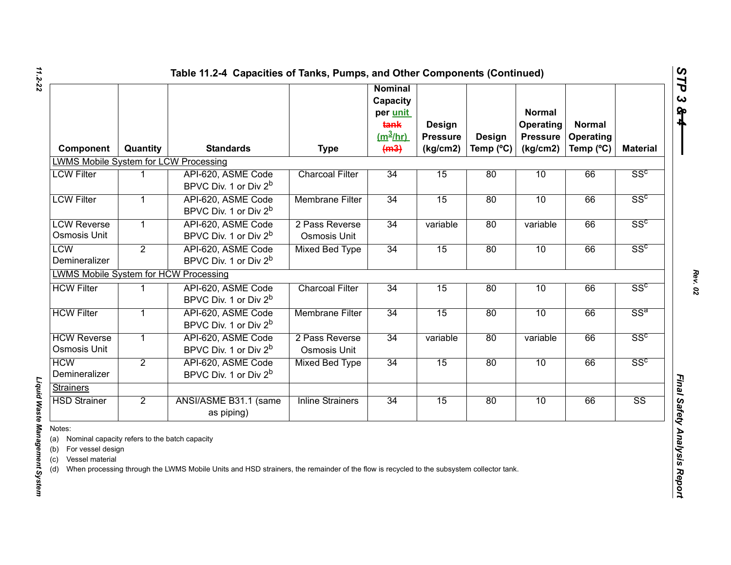| Component                                                                                                                                          | Quantity       | <b>Standards</b>                                                                                                                                                 | <b>Type</b>                           | <b>Nominal</b><br>Capacity<br>per unit<br>tank<br>$(m^3/hr)$<br>(m3) | Design<br><b>Pressure</b><br>(kg/cm2) | Design<br>Temp (°C) | <b>Normal</b><br>Operating<br><b>Pressure</b><br>(kg/cm2) | <b>Normal</b><br>Operating<br>Temp (°C) | <b>Material</b>        |
|----------------------------------------------------------------------------------------------------------------------------------------------------|----------------|------------------------------------------------------------------------------------------------------------------------------------------------------------------|---------------------------------------|----------------------------------------------------------------------|---------------------------------------|---------------------|-----------------------------------------------------------|-----------------------------------------|------------------------|
| <b>LWMS Mobile System for LCW Processing</b>                                                                                                       |                |                                                                                                                                                                  |                                       |                                                                      |                                       |                     |                                                           |                                         |                        |
| <b>LCW Filter</b>                                                                                                                                  | 1              | API-620, ASME Code<br>BPVC Div. 1 or Div 2 <sup>b</sup>                                                                                                          | <b>Charcoal Filter</b>                | $\overline{34}$                                                      | 15                                    | 80                  | 10                                                        | 66                                      | SS <sup>c</sup>        |
| <b>LCW Filter</b>                                                                                                                                  | $\mathbf{1}$   | API-620, ASME Code<br>BPVC Div. 1 or Div 2 <sup>b</sup>                                                                                                          | <b>Membrane Filter</b>                | 34                                                                   | 15                                    | 80                  | 10                                                        | 66                                      | SS <sup>c</sup>        |
| <b>LCW Reverse</b><br><b>Osmosis Unit</b>                                                                                                          | $\mathbf{1}$   | API-620, ASME Code<br>BPVC Div. 1 or Div 2 <sup>b</sup>                                                                                                          | 2 Pass Reverse<br><b>Osmosis Unit</b> | 34                                                                   | variable                              | 80                  | variable                                                  | 66                                      | SS <sup>c</sup>        |
| <b>LCW</b><br>Demineralizer                                                                                                                        | $\overline{2}$ | API-620, ASME Code<br>BPVC Div. 1 or Div 2 <sup>b</sup>                                                                                                          | <b>Mixed Bed Type</b>                 | 34                                                                   | 15                                    | 80                  | 10                                                        | 66                                      | SS <sup>c</sup>        |
| <b>LWMS Mobile System for HCW Processing</b>                                                                                                       |                |                                                                                                                                                                  |                                       |                                                                      |                                       |                     |                                                           |                                         |                        |
| <b>HCW Filter</b>                                                                                                                                  | 1              | API-620, ASME Code<br>BPVC Div. 1 or Div 2 <sup>b</sup>                                                                                                          | <b>Charcoal Filter</b>                | 34                                                                   | 15                                    | 80                  | 10                                                        | 66                                      | SS <sup>c</sup>        |
| <b>HCW Filter</b>                                                                                                                                  | $\mathbf{1}$   | API-620, ASME Code<br>BPVC Div. 1 or Div 2 <sup>b</sup>                                                                                                          | <b>Membrane Filter</b>                | 34                                                                   | 15                                    | 80                  | 10                                                        | 66                                      | SS <sup>a</sup>        |
| <b>HCW Reverse</b><br><b>Osmosis Unit</b>                                                                                                          | $\mathbf{1}$   | API-620, ASME Code<br>BPVC Div. 1 or Div 2 <sup>b</sup>                                                                                                          | 2 Pass Reverse<br><b>Osmosis Unit</b> | 34                                                                   | variable                              | 80                  | variable                                                  | 66                                      | SS <sup>c</sup>        |
| <b>HCW</b><br>Demineralizer                                                                                                                        | $\overline{2}$ | API-620, ASME Code<br>BPVC Div. 1 or Div 2 <sup>b</sup>                                                                                                          | <b>Mixed Bed Type</b>                 | 34                                                                   | 15                                    | 80                  | 10                                                        | 66                                      | SS <sup>c</sup>        |
| <b>Strainers</b>                                                                                                                                   |                |                                                                                                                                                                  |                                       |                                                                      |                                       |                     |                                                           |                                         |                        |
|                                                                                                                                                    |                | as piping)                                                                                                                                                       |                                       |                                                                      |                                       |                     |                                                           |                                         | $\overline{\text{SS}}$ |
| <b>HSD Strainer</b><br>Notes:<br>Nominal capacity refers to the batch capacity<br>(a)<br>For vessel design<br>(b)<br>Vessel material<br>(c)<br>(d) | $\overline{2}$ | ANSI/ASME B31.1 (same<br>When processing through the LWMS Mobile Units and HSD strainers, the remainder of the flow is recycled to the subsystem collector tank. | <b>Inline Strainers</b>               | 34                                                                   | 15                                    | 80                  | 10                                                        | 66                                      |                        |

*STP 3 & 4*

*Rev. 02*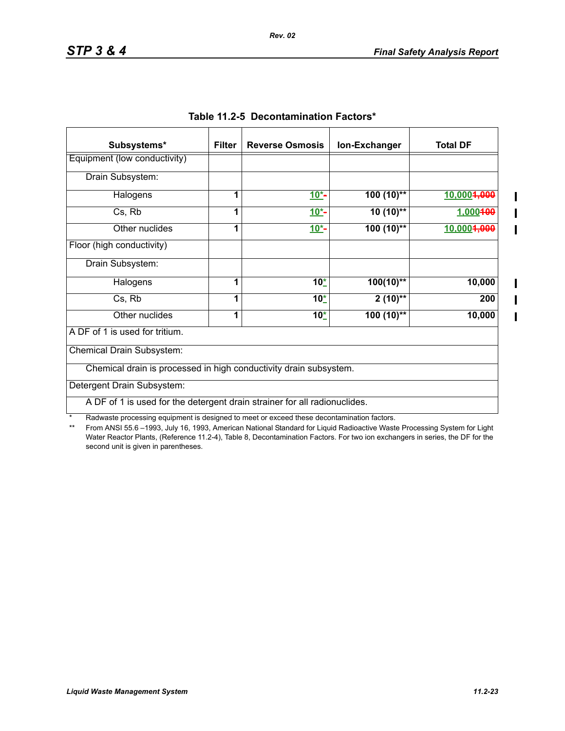$\mathbf I$ 

П

| Subsystems*                                                               | <b>Filter</b> | <b>Reverse Osmosis</b> | Ion-Exchanger | <b>Total DF</b> |
|---------------------------------------------------------------------------|---------------|------------------------|---------------|-----------------|
| Equipment (low conductivity)                                              |               |                        |               |                 |
| Drain Subsystem:                                                          |               |                        |               |                 |
| Halogens                                                                  | 1             | $10^{*}$               | $100(10)$ **  | 10,0004,000     |
| Cs, Rb                                                                    | 1             | $10^{*}$ -             | $10(10)$ **   | 1,000400        |
| Other nuclides                                                            | 1             | $10*$                  | $100(10)$ **  | 10,0004,000     |
| Floor (high conductivity)                                                 |               |                        |               |                 |
| Drain Subsystem:                                                          |               |                        |               |                 |
| Halogens                                                                  | 1             | $10^{*}$               | $100(10)*$    | 10,000          |
| Cs, Rb                                                                    | 1             | $10^{*}$               | $2(10)$ **    | 200             |
| Other nuclides                                                            | 1             | $10^{*}$               | $100(10)$ **  | 10,000          |
| A DF of 1 is used for tritium.                                            |               |                        |               |                 |
| Chemical Drain Subsystem:                                                 |               |                        |               |                 |
| Chemical drain is processed in high conductivity drain subsystem.         |               |                        |               |                 |
| Detergent Drain Subsystem:                                                |               |                        |               |                 |
| A DF of 1 is used for the detergent drain strainer for all radionuclides. |               |                        |               |                 |

|  | Table 11.2-5 Decontamination Factors* |  |
|--|---------------------------------------|--|
|--|---------------------------------------|--|

*Rev. 02*

\* Radwaste processing equipment is designed to meet or exceed these decontamination factors.<br>\*\* From ANSI 55.6 -1993 July 16, 1993 American National Standard for Liquid Radioactive Waste

From ANSI 55.6 –1993, July 16, 1993, American National Standard for Liquid Radioactive Waste Processing System for Light Water Reactor Plants, (Reference 11.2-4), Table 8, Decontamination Factors. For two ion exchangers in series, the DF for the second unit is given in parentheses.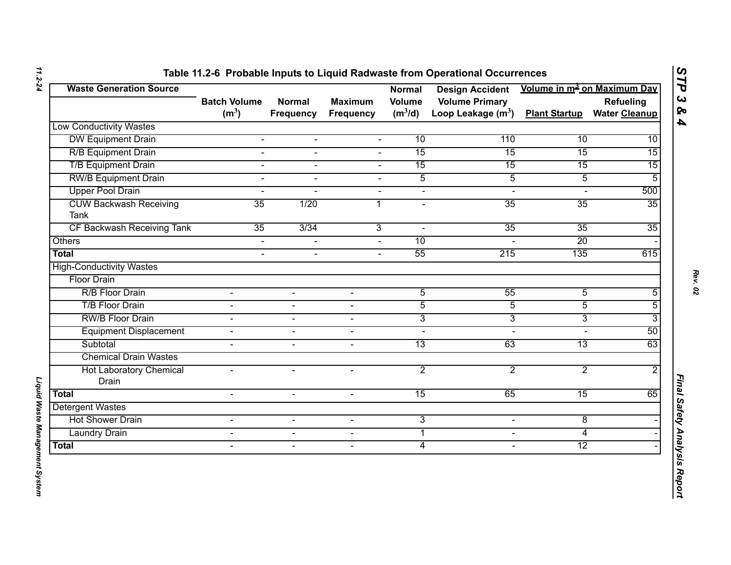| <b>Waste Generation Source</b>               |                                          |                                   |                             | <b>Normal</b>              | <b>Design Accident</b>                        | Volume in m <sup>3</sup> on Maximum Day |                                          |
|----------------------------------------------|------------------------------------------|-----------------------------------|-----------------------------|----------------------------|-----------------------------------------------|-----------------------------------------|------------------------------------------|
|                                              | <b>Batch Volume</b><br>(m <sup>3</sup> ) | <b>Normal</b><br><b>Frequency</b> | <b>Maximum</b><br>Frequency | <b>Volume</b><br>$(m^3/d)$ | <b>Volume Primary</b><br>Loop Leakage $(m^3)$ | <b>Plant Startup</b>                    | <b>Refueling</b><br><b>Water Cleanup</b> |
| <b>Low Conductivity Wastes</b>               |                                          |                                   |                             |                            |                                               |                                         |                                          |
| <b>DW Equipment Drain</b>                    | $\blacksquare$                           | $\blacksquare$                    | $\blacksquare$              | $\overline{10}$            | $\overline{110}$                              | $\overline{10}$                         | $\overline{10}$                          |
| <b>R/B Equipment Drain</b>                   | $\overline{a}$                           | $\blacksquare$                    | $\blacksquare$              | $\overline{15}$            | $\overline{15}$                               | 15                                      | $\overline{15}$                          |
| <b>T/B Equipment Drain</b>                   | $\sim$                                   | $\overline{a}$                    | $\Delta$                    | $\overline{15}$            | $\overline{15}$                               | $\overline{15}$                         | $\overline{15}$                          |
| <b>RW/B Equipment Drain</b>                  | $\overline{a}$                           | $\overline{a}$                    | ÷.                          | $\overline{5}$             | $\overline{5}$                                | $\overline{5}$                          | 5                                        |
| <b>Upper Pool Drain</b>                      | $\sim$                                   |                                   | $\blacksquare$              | $\blacksquare$             | $\blacksquare$                                |                                         | 500                                      |
| <b>CUW Backwash Receiving</b><br><b>Tank</b> | $\overline{35}$                          | 1/20                              | 1                           | $\blacksquare$             | $\overline{35}$                               | $\overline{35}$                         | $\overline{35}$                          |
| <b>CF Backwash Receiving Tank</b>            | $\overline{35}$                          | 3/34                              | $\overline{3}$              | $\blacksquare$             | $\overline{35}$                               | $\overline{35}$                         | $\overline{35}$                          |
| <b>Others</b>                                | $\overline{a}$                           |                                   |                             | 10                         |                                               | $\overline{20}$                         |                                          |
| <b>Total</b>                                 | $\sim$                                   | $\blacksquare$                    | $\sim$                      | $\overline{55}$            | $\overline{215}$                              | 135                                     | 615                                      |
| <b>High-Conductivity Wastes</b>              |                                          |                                   |                             |                            |                                               |                                         |                                          |
| <b>Floor Drain</b>                           |                                          |                                   |                             |                            |                                               |                                         |                                          |
| R/B Floor Drain                              | $\blacksquare$                           |                                   |                             | $\overline{5}$             | $\overline{55}$                               | $\overline{5}$                          | $\overline{5}$                           |
| <b>T/B Floor Drain</b>                       | $\blacksquare$                           | $\blacksquare$                    | $\overline{a}$              | $\overline{5}$             | $\overline{5}$                                | $\overline{5}$                          | $\overline{5}$                           |
| <b>RW/B Floor Drain</b>                      | $\blacksquare$                           | $\overline{\phantom{0}}$          | $\overline{\phantom{a}}$    | $\overline{3}$             | $\overline{3}$                                | $\overline{3}$                          | 3                                        |
| <b>Equipment Displacement</b>                | $\blacksquare$                           | $\sim$                            | $\sim$                      | $\blacksquare$             | $\sim$                                        | $\overline{a}$                          | $\overline{50}$                          |
| Subtotal                                     | $\blacksquare$                           | $\blacksquare$                    | $\sim$                      | $\overline{13}$            | $\overline{63}$                               | $\overline{13}$                         | 63                                       |
| <b>Chemical Drain Wastes</b>                 |                                          |                                   |                             |                            |                                               |                                         |                                          |
| <b>Hot Laboratory Chemical</b><br>Drain      | $\blacksquare$                           | $\blacksquare$                    | $\overline{\phantom{a}}$    | $\overline{2}$             | $\overline{2}$                                | $\overline{2}$                          | $\overline{2}$                           |
| <b>Total</b>                                 | $\overline{a}$                           | $\blacksquare$                    | $\sim$                      | $\overline{15}$            | 65                                            | $\overline{15}$                         | 65                                       |
| <b>Detergent Wastes</b>                      |                                          |                                   |                             |                            |                                               |                                         |                                          |
| <b>Hot Shower Drain</b>                      | $\blacksquare$                           | $\blacksquare$                    | $\blacksquare$              | $\overline{3}$             | $\blacksquare$                                | $\overline{8}$                          |                                          |
| <b>Laundry Drain</b>                         | $\blacksquare$                           | $\blacksquare$                    | $\blacksquare$              | 1                          | $\blacksquare$                                | $\overline{4}$                          |                                          |
| <b>Total</b>                                 | $\blacksquare$                           | $\blacksquare$                    | $\overline{\phantom{a}}$    | $\overline{4}$             | $\overline{\phantom{a}}$                      | $\overline{12}$                         |                                          |

*Liquid Waste Management System* 

Liquid Waste Management System